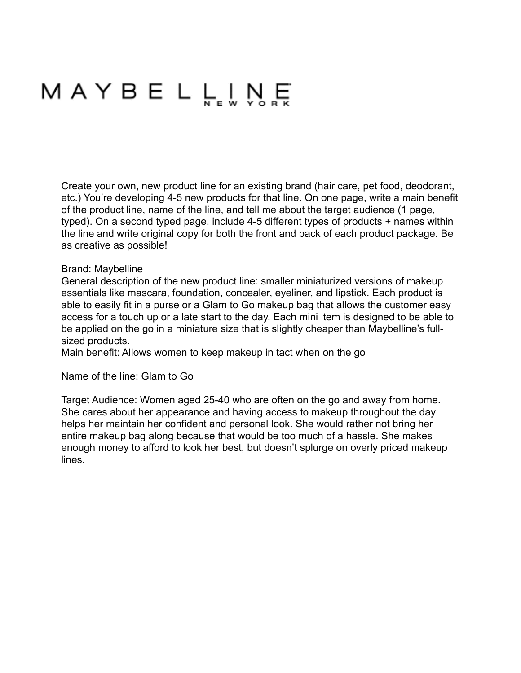# MAYBELL<sub>NEW</sub> N<sub>RK</sub>

Create your own, new product line for an existing brand (hair care, pet food, deodorant, etc.) You're developing 4-5 new products for that line. On one page, write a main benefit of the product line, name of the line, and tell me about the target audience (1 page, typed). On a second typed page, include 4-5 different types of products + names within the line and write original copy for both the front and back of each product package. Be as creative as possible!

### Brand: Maybelline

General description of the new product line: smaller miniaturized versions of makeup essentials like mascara, foundation, concealer, eyeliner, and lipstick. Each product is able to easily fit in a purse or a Glam to Go makeup bag that allows the customer easy access for a touch up or a late start to the day. Each mini item is designed to be able to be applied on the go in a miniature size that is slightly cheaper than Maybelline's fullsized products.

Main benefit: Allows women to keep makeup in tact when on the go

#### Name of the line: Glam to Go

Target Audience: Women aged 25-40 who are often on the go and away from home. She cares about her appearance and having access to makeup throughout the day helps her maintain her confident and personal look. She would rather not bring her entire makeup bag along because that would be too much of a hassle. She makes enough money to afford to look her best, but doesn't splurge on overly priced makeup lines.